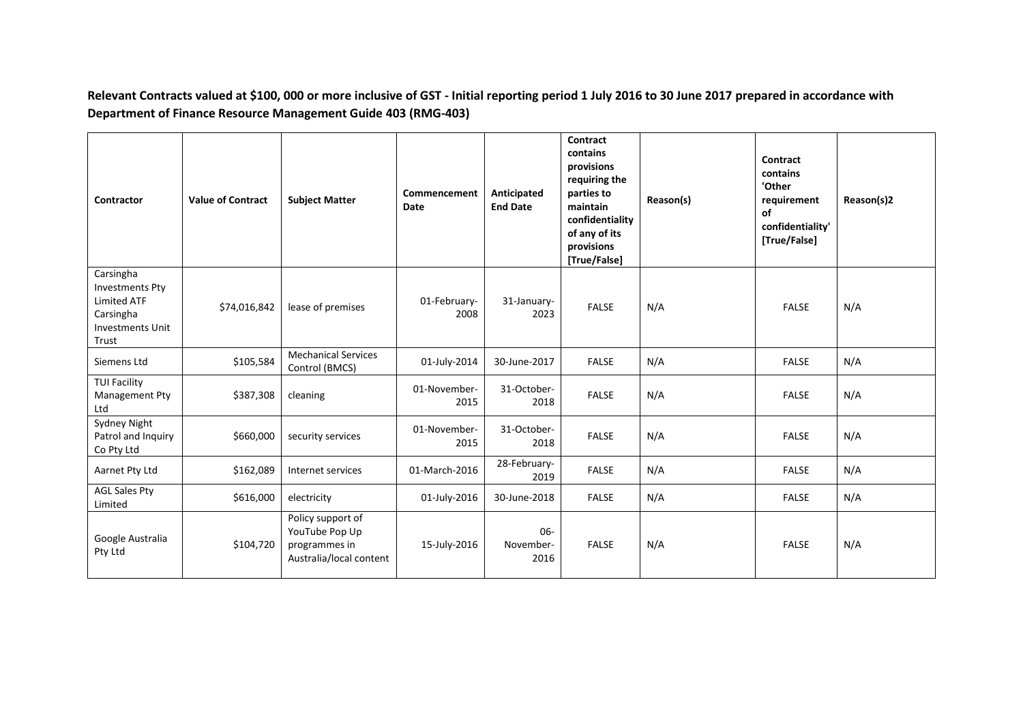**Relevant Contracts valued at \$100, 000 or more inclusive of GST - Initial reporting period 1 July 2016 to 30 June 2017 prepared in accordance with Department of Finance Resource Management Guide 403 (RMG-403)**

| Contractor                                                                                                 | <b>Value of Contract</b> | <b>Subject Matter</b>                                                           | Commencement<br>Date | Anticipated<br><b>End Date</b> | Contract<br>contains<br>provisions<br>requiring the<br>parties to<br>maintain<br>confidentiality<br>of any of its<br>provisions<br>[True/False] | Reason(s) | Contract<br>contains<br>'Other<br>requirement<br>of<br>confidentiality'<br>[True/False] | Reason(s)2 |
|------------------------------------------------------------------------------------------------------------|--------------------------|---------------------------------------------------------------------------------|----------------------|--------------------------------|-------------------------------------------------------------------------------------------------------------------------------------------------|-----------|-----------------------------------------------------------------------------------------|------------|
| Carsingha<br><b>Investments Pty</b><br><b>Limited ATF</b><br>Carsingha<br><b>Investments Unit</b><br>Trust | \$74,016,842             | lease of premises                                                               | 01-February-<br>2008 | 31-January-<br>2023            | <b>FALSE</b>                                                                                                                                    | N/A       | <b>FALSE</b>                                                                            | N/A        |
| Siemens Ltd                                                                                                | \$105,584                | <b>Mechanical Services</b><br>Control (BMCS)                                    | 01-July-2014         | 30-June-2017                   | <b>FALSE</b>                                                                                                                                    | N/A       | <b>FALSE</b>                                                                            | N/A        |
| <b>TUI Facility</b><br>Management Pty<br>Ltd                                                               | \$387,308                | cleaning                                                                        | 01-November-<br>2015 | 31-October-<br>2018            | <b>FALSE</b>                                                                                                                                    | N/A       | <b>FALSE</b>                                                                            | N/A        |
| Sydney Night<br>Patrol and Inquiry<br>Co Pty Ltd                                                           | \$660,000                | security services                                                               | 01-November-<br>2015 | 31-October-<br>2018            | <b>FALSE</b>                                                                                                                                    | N/A       | <b>FALSE</b>                                                                            | N/A        |
| Aarnet Pty Ltd                                                                                             | \$162,089                | Internet services                                                               | 01-March-2016        | 28-February-<br>2019           | <b>FALSE</b>                                                                                                                                    | N/A       | <b>FALSE</b>                                                                            | N/A        |
| <b>AGL Sales Pty</b><br>Limited                                                                            | \$616,000                | electricity                                                                     | 01-July-2016         | 30-June-2018                   | <b>FALSE</b>                                                                                                                                    | N/A       | <b>FALSE</b>                                                                            | N/A        |
| Google Australia<br>Pty Ltd                                                                                | \$104,720                | Policy support of<br>YouTube Pop Up<br>programmes in<br>Australia/local content | 15-July-2016         | 06-<br>November-<br>2016       | <b>FALSE</b>                                                                                                                                    | N/A       | <b>FALSE</b>                                                                            | N/A        |